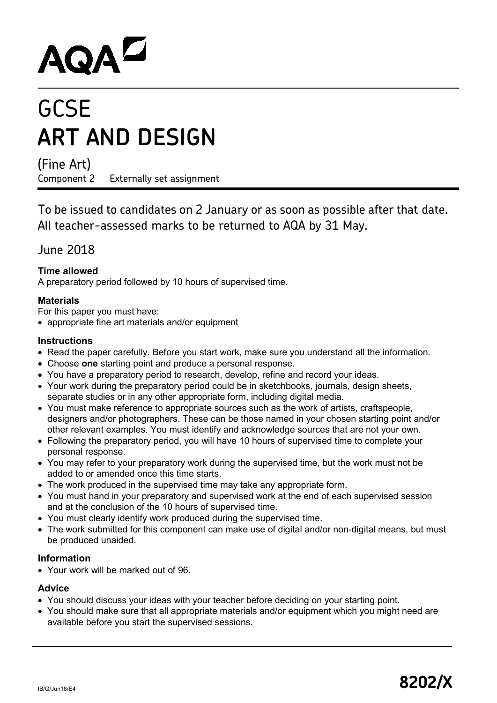# AQAD

# **GCSE ART AND DESIGN**

(Fine Art)

Component 2 Externally set assignment

To be issued to candidates on 2 January or as soon as possible after that date. All teacher-assessed marks to be returned to AQA by 31 May.

## June 2018

### **Time allowed**

A preparatory period followed by 10 hours of supervised time.

#### **Materials**

For this paper you must have:

• appropriate fine art materials and/or equipment

#### **Instructions**

- Read the paper carefully. Before you start work, make sure you understand all the information.
- Choose **one** starting point and produce a personal response.
- You have a preparatory period to research, develop, refine and record your ideas.
- Your work during the preparatory period could be in sketchbooks, journals, design sheets, separate studies or in any other appropriate form, including digital media.
- You must make reference to appropriate sources such as the work of artists, craftspeople, designers and/or photographers. These can be those named in your chosen starting point and/or other relevant examples. You must identify and acknowledge sources that are not your own.
- Following the preparatory period, you will have 10 hours of supervised time to complete your personal response.
- You may refer to your preparatory work during the supervised time, but the work must not be added to or amended once this time starts.
- The work produced in the supervised time may take any appropriate form.
- You must hand in your preparatory and supervised work at the end of each supervised session and at the conclusion of the 10 hours of supervised time.
- You must clearly identify work produced during the supervised time.
- The work submitted for this component can make use of digital and/or non-digital means, but must be produced unaided.

#### **Information**

• Your work will be marked out of 96.

#### **Advice**

- You should discuss your ideas with your teacher before deciding on your starting point.
- You should make sure that all appropriate materials and/or equipment which you might need are available before you start the supervised sessions.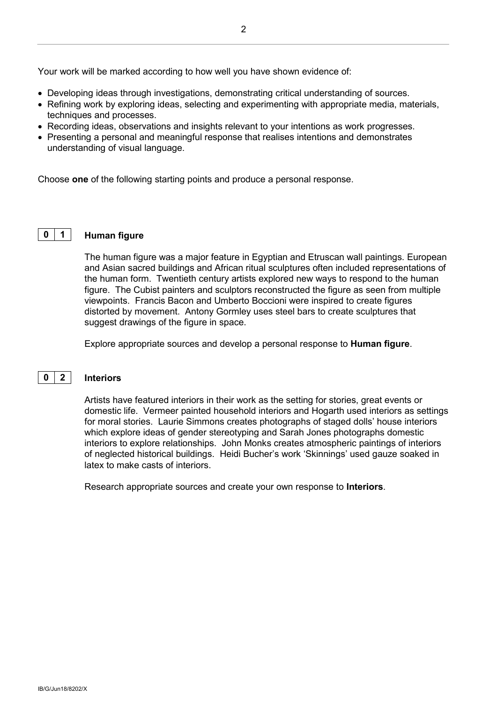Your work will be marked according to how well you have shown evidence of:

- Developing ideas through investigations, demonstrating critical understanding of sources.
- Refining work by exploring ideas, selecting and experimenting with appropriate media, materials, techniques and processes.
- Recording ideas, observations and insights relevant to your intentions as work progresses.
- Presenting a personal and meaningful response that realises intentions and demonstrates understanding of visual language.

Choose **one** of the following starting points and produce a personal response.

#### **0 1 Human figure**

The human figure was a major feature in Egyptian and Etruscan wall paintings. European and Asian sacred buildings and African ritual sculptures often included representations of the human form. Twentieth century artists explored new ways to respond to the human figure. The Cubist painters and sculptors reconstructed the figure as seen from multiple viewpoints. Francis Bacon and Umberto Boccioni were inspired to create figures distorted by movement. Antony Gormley uses steel bars to create sculptures that suggest drawings of the figure in space.

Explore appropriate sources and develop a personal response to **Human figure**.

#### **0 2 Interiors**

Artists have featured interiors in their work as the setting for stories, great events or domestic life. Vermeer painted household interiors and Hogarth used interiors as settings for moral stories. Laurie Simmons creates photographs of staged dolls' house interiors which explore ideas of gender stereotyping and Sarah Jones photographs domestic interiors to explore relationships. John Monks creates atmospheric paintings of interiors of neglected historical buildings. Heidi Bucher's work 'Skinnings' used gauze soaked in latex to make casts of interiors.

Research appropriate sources and create your own response to **Interiors**.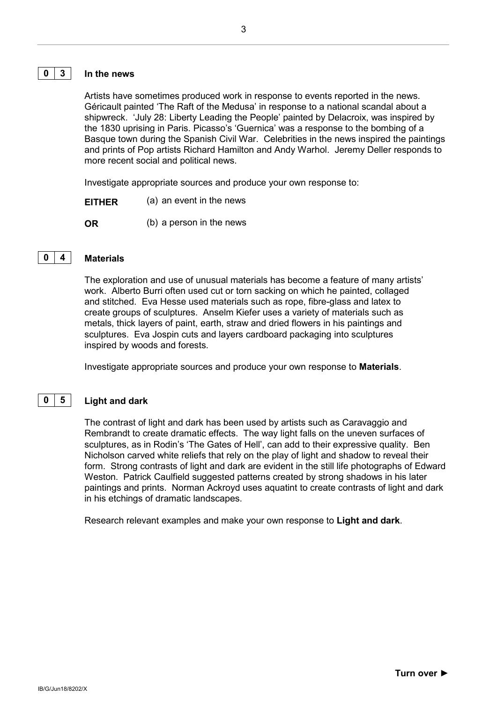#### **0 3 In the news**

Artists have sometimes produced work in response to events reported in the news. Géricault painted 'The Raft of the Medusa' in response to a national scandal about a shipwreck. 'July 28: Liberty Leading the People' painted by Delacroix, was inspired by the 1830 uprising in Paris. Picasso's 'Guernica' was a response to the bombing of a Basque town during the Spanish Civil War. Celebrities in the news inspired the paintings and prints of Pop artists Richard Hamilton and Andy Warhol. Jeremy Deller responds to more recent social and political news.

Investigate appropriate sources and produce your own response to:

- **EITHER** (a) an event in the news
- **OR** (b) a person in the news

#### **0 4 Materials**

The exploration and use of unusual materials has become a feature of many artists' work. Alberto Burri often used cut or torn sacking on which he painted, collaged and stitched. Eva Hesse used materials such as rope, fibre-glass and latex to create groups of sculptures. Anselm Kiefer uses a variety of materials such as metals, thick layers of paint, earth, straw and dried flowers in his paintings and sculptures. Eva Jospin cuts and layers cardboard packaging into sculptures inspired by woods and forests.

Investigate appropriate sources and produce your own response to **Materials**.

#### **0 5 Light and dark**

The contrast of light and dark has been used by artists such as Caravaggio and Rembrandt to create dramatic effects. The way light falls on the uneven surfaces of sculptures, as in Rodin's 'The Gates of Hell', can add to their expressive quality. Ben Nicholson carved white reliefs that rely on the play of light and shadow to reveal their form. Strong contrasts of light and dark are evident in the still life photographs of Edward Weston. Patrick Caulfield suggested patterns created by strong shadows in his later paintings and prints. Norman Ackroyd uses aquatint to create contrasts of light and dark in his etchings of dramatic landscapes.

Research relevant examples and make your own response to **Light and dark**.